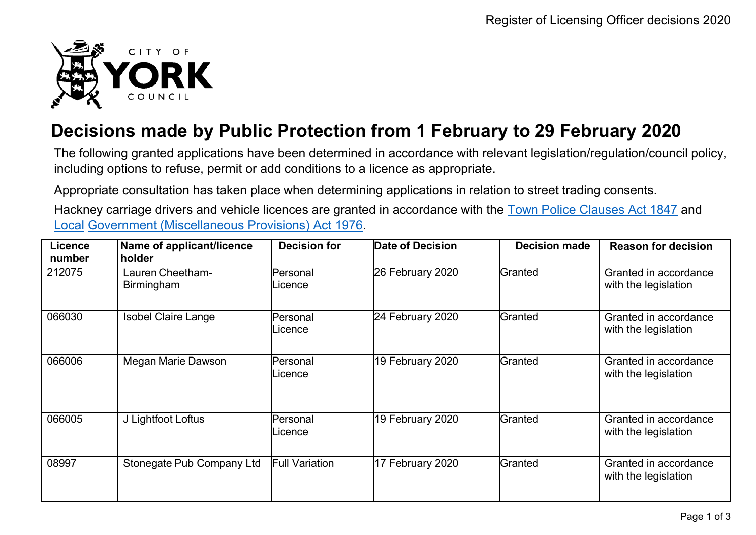

## **Decisions made by Public Protection from 1 February to 29 February 2020**

The following granted applications have been determined in accordance with relevant legislation/regulation/council policy, including options to refuse, permit or add conditions to a licence as appropriate.

Appropriate consultation has taken place when determining applications in relation to street trading consents.

Hackney carriage drivers and vehicle licences are granted in accordance with the Town Police [Clauses](http://www.legislation.gov.uk/ukpga/Vict/10-11/89) Act 1847 and [Local](http://www.legislation.gov.uk/ukpga/1976/57) [Government \(Miscellaneous Provisions\) Act 1976.](http://www.legislation.gov.uk/ukpga/1976/57)

| <b>Licence</b><br>number | Name of applicant/licence<br>holder   | <b>Decision for</b>   | Date of Decision | <b>Decision made</b> | <b>Reason for decision</b>                    |
|--------------------------|---------------------------------------|-----------------------|------------------|----------------------|-----------------------------------------------|
| 212075                   | Lauren Cheetham-<br><b>Birmingham</b> | Personal<br>Licence   | 26 February 2020 | Granted              | Granted in accordance<br>with the legislation |
| 066030                   | <b>Isobel Claire Lange</b>            | Personal<br>Licence   | 24 February 2020 | Granted              | Granted in accordance<br>with the legislation |
| 066006                   | Megan Marie Dawson                    | Personal<br>Licence   | 19 February 2020 | Granted              | Granted in accordance<br>with the legislation |
| 066005                   | J Lightfoot Loftus                    | Personal<br>Licence   | 19 February 2020 | Granted              | Granted in accordance<br>with the legislation |
| 08997                    | Stonegate Pub Company Ltd             | <b>Full Variation</b> | 17 February 2020 | Granted              | Granted in accordance<br>with the legislation |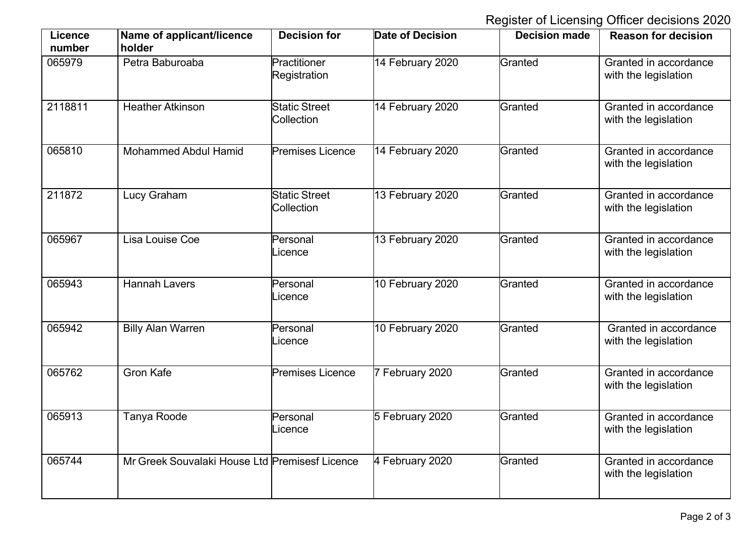Register of Licensing Officer decisions 2020

| <b>Licence</b><br>number | Name of applicant/licence<br>holder            | <b>Decision for</b>                       | <b>Date of Decision</b> | <b>Decision made</b> | <b>Reason for decision</b>                    |
|--------------------------|------------------------------------------------|-------------------------------------------|-------------------------|----------------------|-----------------------------------------------|
| 065979                   | Petra Baburoaba                                | Practitioner<br>Registration              | 14 February 2020        | Granted              | Granted in accordance<br>with the legislation |
| 2118811                  | <b>Heather Atkinson</b>                        | <b>Static Street</b><br><b>Collection</b> | 14 February 2020        | Granted              | Granted in accordance<br>with the legislation |
| 065810                   | <b>Mohammed Abdul Hamid</b>                    | <b>Premises Licence</b>                   | 14 February 2020        | Granted              | Granted in accordance<br>with the legislation |
| 211872                   | Lucy Graham                                    | <b>Static Street</b><br>Collection        | 13 February 2020        | Granted              | Granted in accordance<br>with the legislation |
| 065967                   | Lisa Louise Coe                                | Personal<br>_icence                       | 13 February 2020        | Granted              | Granted in accordance<br>with the legislation |
| 065943                   | <b>Hannah Lavers</b>                           | Personal<br>_icence                       | 10 February 2020        | Granted              | Granted in accordance<br>with the legislation |
| 065942                   | <b>Billy Alan Warren</b>                       | Personal<br>_icence                       | 10 February 2020        | Granted              | Granted in accordance<br>with the legislation |
| 065762                   | <b>Gron Kafe</b>                               | <b>Premises Licence</b>                   | 7 February 2020         | Granted              | Granted in accordance<br>with the legislation |
| 065913                   | <b>Tanya Roode</b>                             | Personal<br>_icence                       | 5 February 2020         | Granted              | Granted in accordance<br>with the legislation |
| 065744                   | Mr Greek Souvalaki House Ltd Premisesf Licence |                                           | 4 February 2020         | Granted              | Granted in accordance<br>with the legislation |